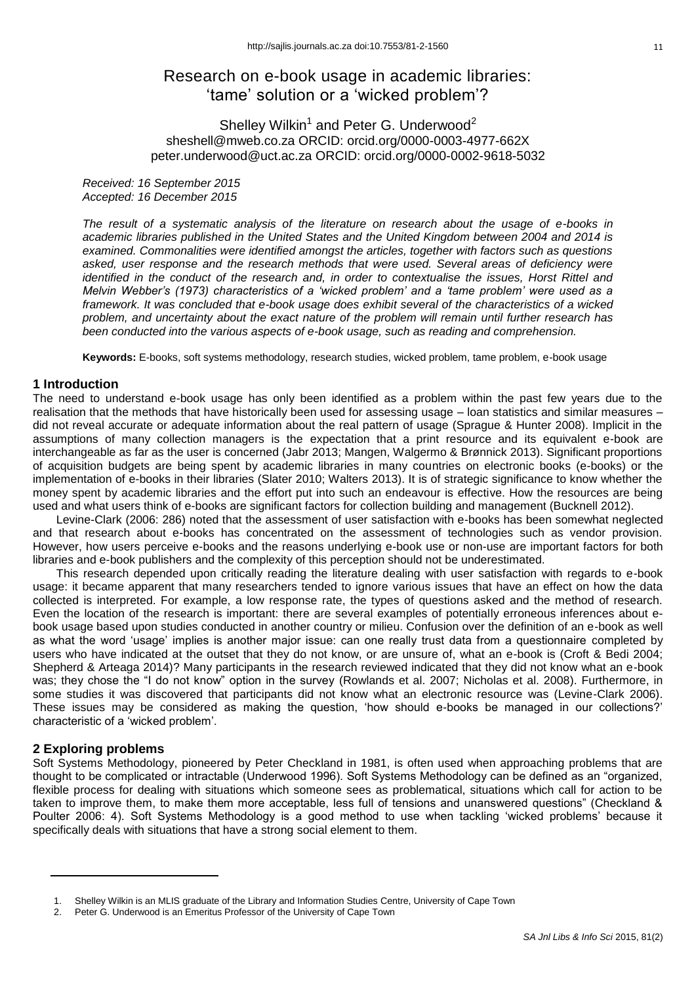# Research on e-book usage in academic libraries: 'tame' solution or a 'wicked problem'?

# Shelley Wilkin<sup>1</sup> and Peter G. Underwood<sup>2</sup> sheshell@mweb.co.za ORCID: orcid.org/0000-0003-4977-662X peter.underwood@uct.ac.za ORCID: orcid.org/0000-0002-9618-5032

*Received: 16 September 2015 Accepted: 16 December 2015*

*The result of a systematic analysis of the literature on research about the usage of e-books in academic libraries published in the United States and the United Kingdom between 2004 and 2014 is examined. Commonalities were identified amongst the articles, together with factors such as questions asked, user response and the research methods that were used. Several areas of deficiency were identified in the conduct of the research and, in order to contextualise the issues, Horst Rittel and Melvin Webber's (1973) characteristics of a 'wicked problem' and a 'tame problem' were used as a framework. It was concluded that e-book usage does exhibit several of the characteristics of a wicked*  problem, and uncertainty about the exact nature of the problem will remain until further research has *been conducted into the various aspects of e-book usage, such as reading and comprehension.*

**Keywords:** E-books, soft systems methodology, research studies, wicked problem, tame problem, e-book usage

### **1 Introduction**

The need to understand e-book usage has only been identified as a problem within the past few years due to the realisation that the methods that have historically been used for assessing usage – loan statistics and similar measures – did not reveal accurate or adequate information about the real pattern of usage (Sprague & Hunter 2008). Implicit in the assumptions of many collection managers is the expectation that a print resource and its equivalent e-book are interchangeable as far as the user is concerned (Jabr 2013; Mangen, Walgermo & Brønnick 2013). Significant proportions of acquisition budgets are being spent by academic libraries in many countries on electronic books (e-books) or the implementation of e-books in their libraries (Slater 2010; Walters 2013). It is of strategic significance to know whether the money spent by academic libraries and the effort put into such an endeavour is effective. How the resources are being used and what users think of e-books are significant factors for collection building and management (Bucknell 2012).

Levine-Clark (2006: 286) noted that the assessment of user satisfaction with e-books has been somewhat neglected and that research about e-books has concentrated on the assessment of technologies such as vendor provision. However, how users perceive e-books and the reasons underlying e-book use or non-use are important factors for both libraries and e-book publishers and the complexity of this perception should not be underestimated.

This research depended upon critically reading the literature dealing with user satisfaction with regards to e-book usage: it became apparent that many researchers tended to ignore various issues that have an effect on how the data collected is interpreted. For example, a low response rate, the types of questions asked and the method of research. Even the location of the research is important: there are several examples of potentially erroneous inferences about ebook usage based upon studies conducted in another country or milieu. Confusion over the definition of an e-book as well as what the word 'usage' implies is another major issue: can one really trust data from a questionnaire completed by users who have indicated at the outset that they do not know, or are unsure of, what an e-book is (Croft & Bedi 2004; Shepherd & Arteaga 2014)? Many participants in the research reviewed indicated that they did not know what an e-book was; they chose the "I do not know" option in the survey (Rowlands et al. 2007; Nicholas et al. 2008). Furthermore, in some studies it was discovered that participants did not know what an electronic resource was (Levine-Clark 2006). These issues may be considered as making the question, 'how should e-books be managed in our collections?' characteristic of a 'wicked problem'.

## **2 Exploring problems**

Soft Systems Methodology, pioneered by Peter Checkland in 1981, is often used when approaching problems that are thought to be complicated or intractable (Underwood 1996). Soft Systems Methodology can be defined as an "organized, flexible process for dealing with situations which someone sees as problematical, situations which call for action to be taken to improve them, to make them more acceptable, less full of tensions and unanswered questions" (Checkland & Poulter 2006: 4). Soft Systems Methodology is a good method to use when tackling 'wicked problems' because it specifically deals with situations that have a strong social element to them.

<sup>1.</sup> Shelley Wilkin is an MLIS graduate of the Library and Information Studies Centre, University of Cape Town

<sup>2.</sup> Peter G. Underwood is an Emeritus Professor of the University of Cape Town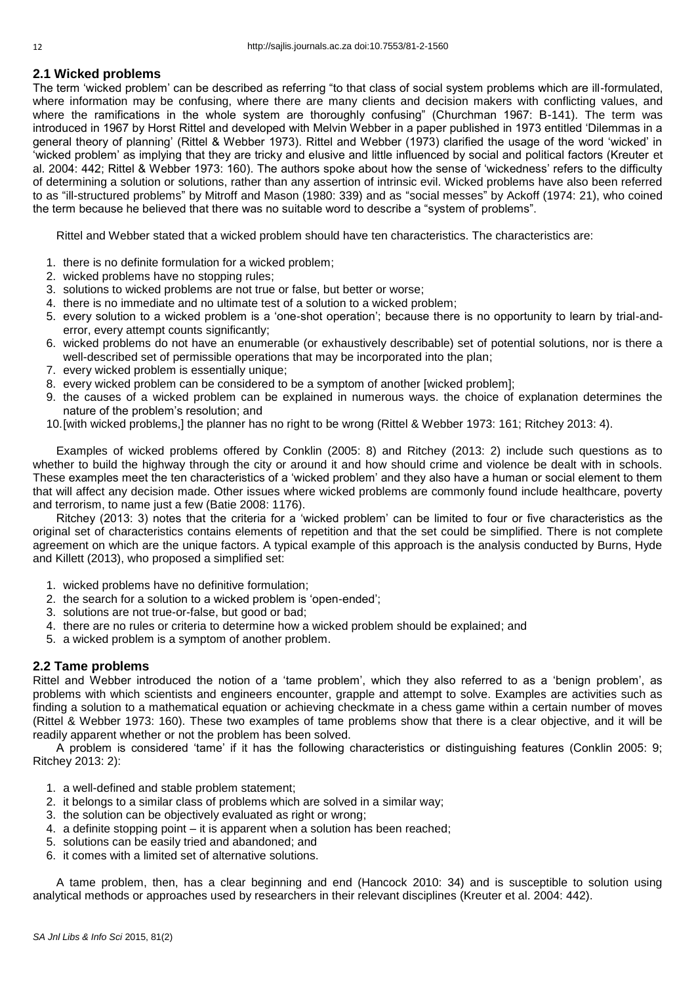## **2.1 Wicked problems**

The term 'wicked problem' can be described as referring "to that class of social system problems which are ill-formulated, where information may be confusing, where there are many clients and decision makers with conflicting values, and where the ramifications in the whole system are thoroughly confusing" (Churchman 1967: B-141). The term was introduced in 1967 by Horst Rittel and developed with Melvin Webber in a paper published in 1973 entitled 'Dilemmas in a general theory of planning' (Rittel & Webber 1973). Rittel and Webber (1973) clarified the usage of the word 'wicked' in 'wicked problem' as implying that they are tricky and elusive and little influenced by social and political factors (Kreuter et al. 2004: 442; Rittel & Webber 1973: 160). The authors spoke about how the sense of 'wickedness' refers to the difficulty of determining a solution or solutions, rather than any assertion of intrinsic evil. Wicked problems have also been referred to as "ill-structured problems" by Mitroff and Mason (1980: 339) and as "social messes" by Ackoff (1974: 21), who coined the term because he believed that there was no suitable word to describe a "system of problems".

Rittel and Webber stated that a wicked problem should have ten characteristics. The characteristics are:

- 1. there is no definite formulation for a wicked problem;
- 2. wicked problems have no stopping rules:
- 3. solutions to wicked problems are not true or false, but better or worse;
- 4. there is no immediate and no ultimate test of a solution to a wicked problem;
- 5. every solution to a wicked problem is a 'one-shot operation'; because there is no opportunity to learn by trial-anderror, every attempt counts significantly;
- 6. wicked problems do not have an enumerable (or exhaustively describable) set of potential solutions, nor is there a well-described set of permissible operations that may be incorporated into the plan;
- 7. every wicked problem is essentially unique;
- 8. every wicked problem can be considered to be a symptom of another [wicked problem];
- 9. the causes of a wicked problem can be explained in numerous ways. the choice of explanation determines the nature of the problem's resolution; and
- 10.[with wicked problems,] the planner has no right to be wrong (Rittel & Webber 1973: 161; Ritchey 2013: 4).

Examples of wicked problems offered by Conklin (2005: 8) and Ritchey (2013: 2) include such questions as to whether to build the highway through the city or around it and how should crime and violence be dealt with in schools. These examples meet the ten characteristics of a 'wicked problem' and they also have a human or social element to them that will affect any decision made. Other issues where wicked problems are commonly found include healthcare, poverty and terrorism, to name just a few (Batie 2008: 1176).

Ritchey (2013: 3) notes that the criteria for a 'wicked problem' can be limited to four or five characteristics as the original set of characteristics contains elements of repetition and that the set could be simplified. There is not complete agreement on which are the unique factors. A typical example of this approach is the analysis conducted by Burns, Hyde and Killett (2013), who proposed a simplified set:

- 1. wicked problems have no definitive formulation;
- 2. the search for a solution to a wicked problem is 'open-ended';
- 3. solutions are not true-or-false, but good or bad;
- 4. there are no rules or criteria to determine how a wicked problem should be explained; and
- 5. a wicked problem is a symptom of another problem.

## **2.2 Tame problems**

Rittel and Webber introduced the notion of a 'tame problem', which they also referred to as a 'benign problem', as problems with which scientists and engineers encounter, grapple and attempt to solve. Examples are activities such as finding a solution to a mathematical equation or achieving checkmate in a chess game within a certain number of moves (Rittel & Webber 1973: 160). These two examples of tame problems show that there is a clear objective, and it will be readily apparent whether or not the problem has been solved.

A problem is considered 'tame' if it has the following characteristics or distinguishing features (Conklin 2005: 9; Ritchey 2013: 2):

- 1. a well-defined and stable problem statement;
- 2. it belongs to a similar class of problems which are solved in a similar way;
- 3. the solution can be objectively evaluated as right or wrong;
- 4. a definite stopping point it is apparent when a solution has been reached;
- 5. solutions can be easily tried and abandoned; and
- 6. it comes with a limited set of alternative solutions.

A tame problem, then, has a clear beginning and end (Hancock 2010: 34) and is susceptible to solution using analytical methods or approaches used by researchers in their relevant disciplines (Kreuter et al. 2004: 442).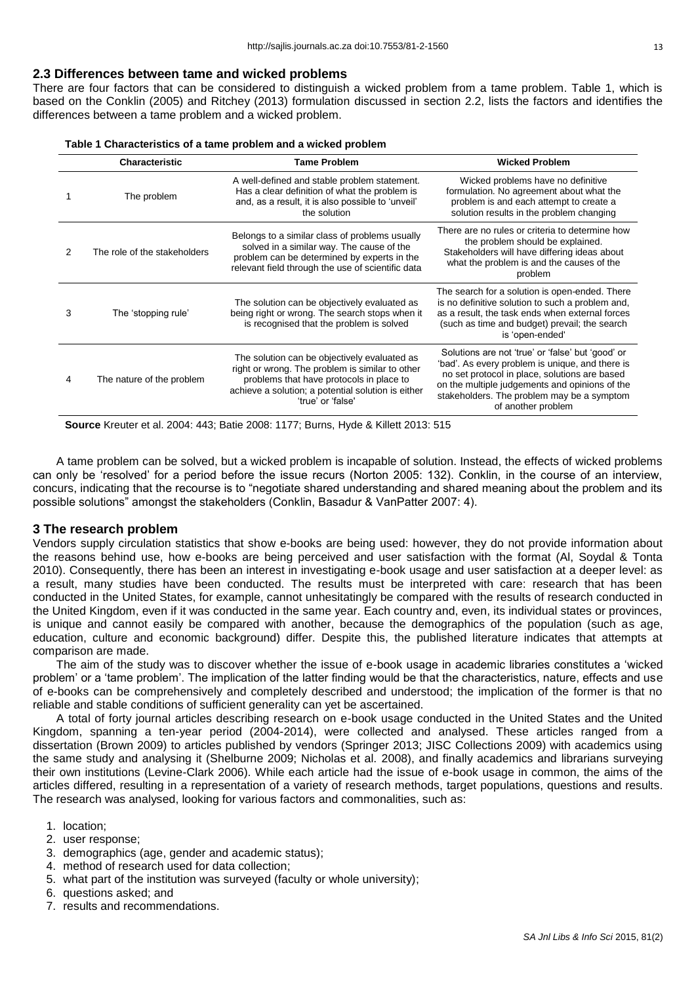#### **2.3 Differences between tame and wicked problems**

There are four factors that can be considered to distinguish a wicked problem from a tame problem. Table 1, which is based on the Conklin (2005) and Ritchey (2013) formulation discussed in section 2.2, lists the factors and identifies the differences between a tame problem and a wicked problem.

| Table 1 Characteristics of a tame problem and a wicked problem |  |  |
|----------------------------------------------------------------|--|--|
|----------------------------------------------------------------|--|--|

|   | <b>Characteristic</b>        | <b>Tame Problem</b>                                                                                                                                                                                                    | <b>Wicked Problem</b>                                                                                                                                                                                                                                                       |
|---|------------------------------|------------------------------------------------------------------------------------------------------------------------------------------------------------------------------------------------------------------------|-----------------------------------------------------------------------------------------------------------------------------------------------------------------------------------------------------------------------------------------------------------------------------|
|   | The problem                  | A well-defined and stable problem statement.<br>Has a clear definition of what the problem is<br>and, as a result, it is also possible to 'unveil'<br>the solution                                                     | Wicked problems have no definitive<br>formulation. No agreement about what the<br>problem is and each attempt to create a<br>solution results in the problem changing                                                                                                       |
| 2 | The role of the stakeholders | Belongs to a similar class of problems usually<br>solved in a similar way. The cause of the<br>problem can be determined by experts in the<br>relevant field through the use of scientific data                        | There are no rules or criteria to determine how<br>the problem should be explained.<br>Stakeholders will have differing ideas about<br>what the problem is and the causes of the<br>problem                                                                                 |
| 3 | The 'stopping rule'          | The solution can be objectively evaluated as<br>being right or wrong. The search stops when it<br>is recognised that the problem is solved                                                                             | The search for a solution is open-ended. There<br>is no definitive solution to such a problem and,<br>as a result, the task ends when external forces<br>(such as time and budget) prevail; the search<br>is 'open-ended'                                                   |
| 4 | The nature of the problem    | The solution can be objectively evaluated as<br>right or wrong. The problem is similar to other<br>problems that have protocols in place to<br>achieve a solution; a potential solution is either<br>'true' or 'false' | Solutions are not 'true' or 'false' but 'good' or<br>'bad'. As every problem is unique, and there is<br>no set protocol in place, solutions are based<br>on the multiple judgements and opinions of the<br>stakeholders. The problem may be a symptom<br>of another problem |

**Source** Kreuter et al. 2004: 443; Batie 2008: 1177; Burns, Hyde & Killett 2013: 515

A tame problem can be solved, but a wicked problem is incapable of solution. Instead, the effects of wicked problems can only be 'resolved' for a period before the issue recurs (Norton 2005: 132). Conklin, in the course of an interview, concurs, indicating that the recourse is to "negotiate shared understanding and shared meaning about the problem and its possible solutions" amongst the stakeholders (Conklin, Basadur & VanPatter 2007: 4).

#### **3 The research problem**

Vendors supply circulation statistics that show e-books are being used: however, they do not provide information about the reasons behind use, how e-books are being perceived and user satisfaction with the format (Al, Soydal & Tonta 2010). Consequently, there has been an interest in investigating e-book usage and user satisfaction at a deeper level: as a result, many studies have been conducted. The results must be interpreted with care: research that has been conducted in the United States, for example, cannot unhesitatingly be compared with the results of research conducted in the United Kingdom, even if it was conducted in the same year. Each country and, even, its individual states or provinces, is unique and cannot easily be compared with another, because the demographics of the population (such as age, education, culture and economic background) differ. Despite this, the published literature indicates that attempts at comparison are made.

The aim of the study was to discover whether the issue of e-book usage in academic libraries constitutes a 'wicked problem' or a 'tame problem'. The implication of the latter finding would be that the characteristics, nature, effects and use of e-books can be comprehensively and completely described and understood; the implication of the former is that no reliable and stable conditions of sufficient generality can yet be ascertained.

A total of forty journal articles describing research on e-book usage conducted in the United States and the United Kingdom, spanning a ten-year period (2004-2014), were collected and analysed. These articles ranged from a dissertation (Brown 2009) to articles published by vendors (Springer 2013; JISC Collections 2009) with academics using the same study and analysing it (Shelburne 2009; Nicholas et al. 2008), and finally academics and librarians surveying their own institutions (Levine-Clark 2006). While each article had the issue of e-book usage in common, the aims of the articles differed, resulting in a representation of a variety of research methods, target populations, questions and results. The research was analysed, looking for various factors and commonalities, such as:

- 1. location;
- 2. user response;
- 3. demographics (age, gender and academic status);
- 4. method of research used for data collection;
- 5. what part of the institution was surveyed (faculty or whole university);
- 6. questions asked; and
- 7. results and recommendations.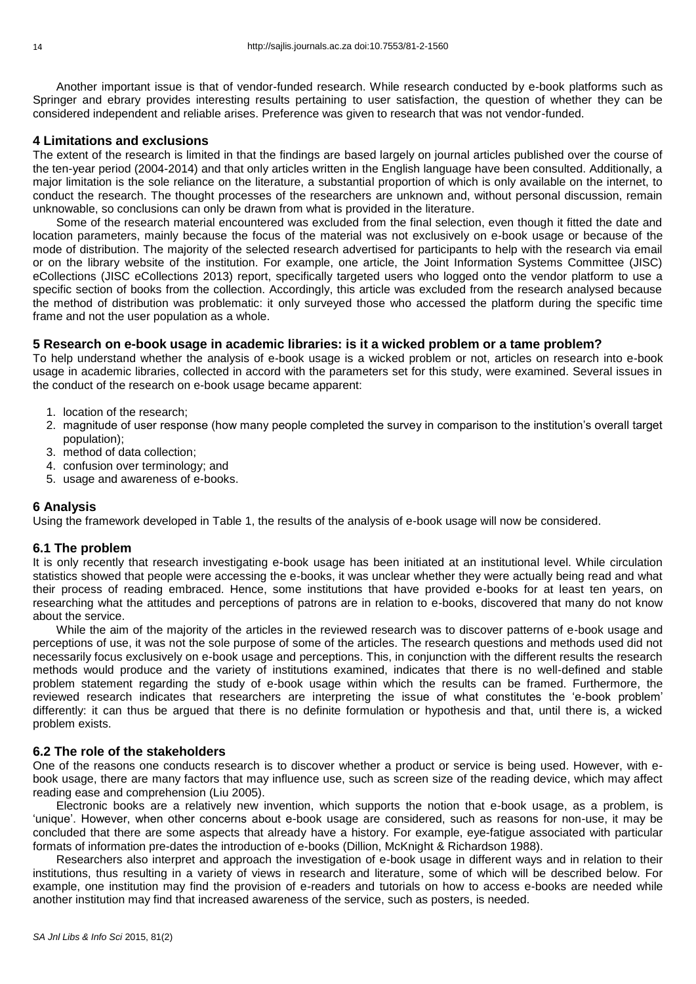Another important issue is that of vendor-funded research. While research conducted by e-book platforms such as Springer and ebrary provides interesting results pertaining to user satisfaction, the question of whether they can be considered independent and reliable arises. Preference was given to research that was not vendor-funded.

## **4 Limitations and exclusions**

The extent of the research is limited in that the findings are based largely on journal articles published over the course of the ten-year period (2004-2014) and that only articles written in the English language have been consulted. Additionally, a major limitation is the sole reliance on the literature, a substantial proportion of which is only available on the internet, to conduct the research. The thought processes of the researchers are unknown and, without personal discussion, remain unknowable, so conclusions can only be drawn from what is provided in the literature.

Some of the research material encountered was excluded from the final selection, even though it fitted the date and location parameters, mainly because the focus of the material was not exclusively on e-book usage or because of the mode of distribution. The majority of the selected research advertised for participants to help with the research via email or on the library website of the institution. For example, one article, the Joint Information Systems Committee (JISC) eCollections (JISC eCollections 2013) report, specifically targeted users who logged onto the vendor platform to use a specific section of books from the collection. Accordingly, this article was excluded from the research analysed because the method of distribution was problematic: it only surveyed those who accessed the platform during the specific time frame and not the user population as a whole.

## **5 Research on e-book usage in academic libraries: is it a wicked problem or a tame problem?**

To help understand whether the analysis of e-book usage is a wicked problem or not, articles on research into e-book usage in academic libraries, collected in accord with the parameters set for this study, were examined. Several issues in the conduct of the research on e-book usage became apparent:

- 1. location of the research;
- 2. magnitude of user response (how many people completed the survey in comparison to the institution's overall target population);
- 3. method of data collection;
- 4. confusion over terminology; and
- 5. usage and awareness of e-books.

# **6 Analysis**

Using the framework developed in Table 1, the results of the analysis of e-book usage will now be considered.

# **6.1 The problem**

It is only recently that research investigating e-book usage has been initiated at an institutional level. While circulation statistics showed that people were accessing the e-books, it was unclear whether they were actually being read and what their process of reading embraced. Hence, some institutions that have provided e-books for at least ten years, on researching what the attitudes and perceptions of patrons are in relation to e-books, discovered that many do not know about the service.

While the aim of the majority of the articles in the reviewed research was to discover patterns of e-book usage and perceptions of use, it was not the sole purpose of some of the articles. The research questions and methods used did not necessarily focus exclusively on e-book usage and perceptions. This, in conjunction with the different results the research methods would produce and the variety of institutions examined, indicates that there is no well-defined and stable problem statement regarding the study of e-book usage within which the results can be framed. Furthermore, the reviewed research indicates that researchers are interpreting the issue of what constitutes the 'e-book problem' differently: it can thus be argued that there is no definite formulation or hypothesis and that, until there is, a wicked problem exists.

## **6.2 The role of the stakeholders**

One of the reasons one conducts research is to discover whether a product or service is being used. However, with ebook usage, there are many factors that may influence use, such as screen size of the reading device, which may affect reading ease and comprehension (Liu 2005).

Electronic books are a relatively new invention, which supports the notion that e-book usage, as a problem, is 'unique'. However, when other concerns about e-book usage are considered, such as reasons for non-use, it may be concluded that there are some aspects that already have a history. For example, eye-fatigue associated with particular formats of information pre-dates the introduction of e-books (Dillion, McKnight & Richardson 1988).

Researchers also interpret and approach the investigation of e-book usage in different ways and in relation to their institutions, thus resulting in a variety of views in research and literature, some of which will be described below. For example, one institution may find the provision of e-readers and tutorials on how to access e-books are needed while another institution may find that increased awareness of the service, such as posters, is needed.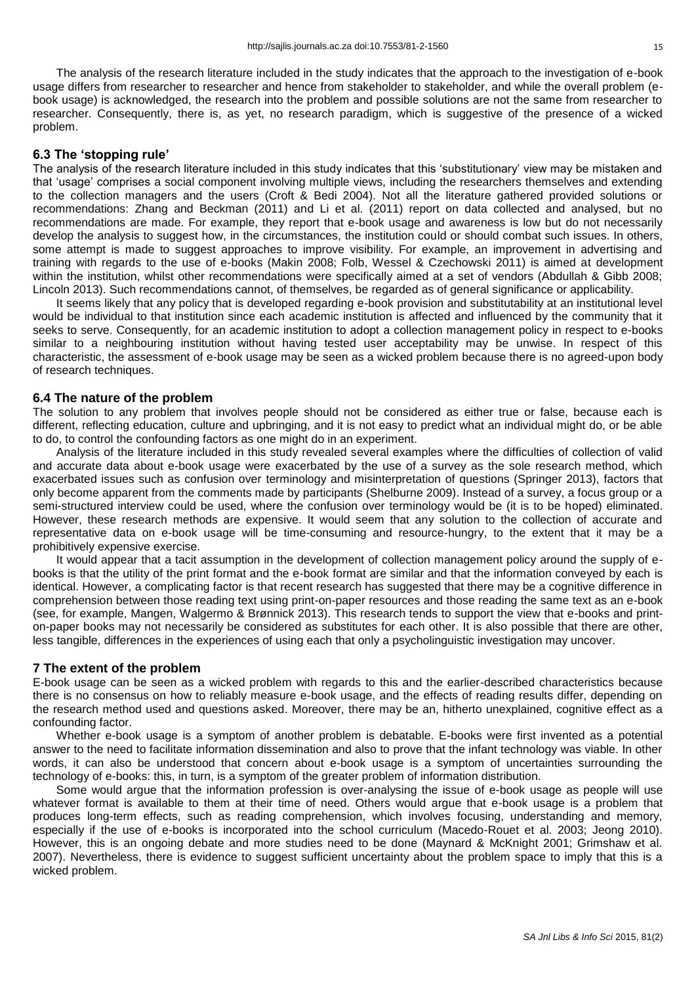The analysis of the research literature included in the study indicates that the approach to the investigation of e-book usage differs from researcher to researcher and hence from stakeholder to stakeholder, and while the overall problem (ebook usage) is acknowledged, the research into the problem and possible solutions are not the same from researcher to researcher. Consequently, there is, as yet, no research paradigm, which is suggestive of the presence of a wicked problem.

### **6.3 The 'stopping rule'**

The analysis of the research literature included in this study indicates that this 'substitutionary' view may be mistaken and that 'usage' comprises a social component involving multiple views, including the researchers themselves and extending to the collection managers and the users (Croft & Bedi 2004). Not all the literature gathered provided solutions or recommendations: Zhang and Beckman (2011) and Li et al. (2011) report on data collected and analysed, but no recommendations are made. For example, they report that e-book usage and awareness is low but do not necessarily develop the analysis to suggest how, in the circumstances, the institution could or should combat such issues. In others, some attempt is made to suggest approaches to improve visibility. For example, an improvement in advertising and training with regards to the use of e-books (Makin 2008; Folb, Wessel & Czechowski 2011) is aimed at development within the institution, whilst other recommendations were specifically aimed at a set of vendors (Abdullah & Gibb 2008; Lincoln 2013). Such recommendations cannot, of themselves, be regarded as of general significance or applicability.

It seems likely that any policy that is developed regarding e-book provision and substitutability at an institutional level would be individual to that institution since each academic institution is affected and influenced by the community that it seeks to serve. Consequently, for an academic institution to adopt a collection management policy in respect to e-books similar to a neighbouring institution without having tested user acceptability may be unwise. In respect of this characteristic, the assessment of e-book usage may be seen as a wicked problem because there is no agreed-upon body of research techniques.

#### **6.4 The nature of the problem**

The solution to any problem that involves people should not be considered as either true or false, because each is different, reflecting education, culture and upbringing, and it is not easy to predict what an individual might do, or be able to do, to control the confounding factors as one might do in an experiment.

Analysis of the literature included in this study revealed several examples where the difficulties of collection of valid and accurate data about e-book usage were exacerbated by the use of a survey as the sole research method, which exacerbated issues such as confusion over terminology and misinterpretation of questions (Springer 2013), factors that only become apparent from the comments made by participants (Shelburne 2009). Instead of a survey, a focus group or a semi-structured interview could be used, where the confusion over terminology would be (it is to be hoped) eliminated. However, these research methods are expensive. It would seem that any solution to the collection of accurate and representative data on e-book usage will be time-consuming and resource-hungry, to the extent that it may be a prohibitively expensive exercise.

It would appear that a tacit assumption in the development of collection management policy around the supply of ebooks is that the utility of the print format and the e-book format are similar and that the information conveyed by each is identical. However, a complicating factor is that recent research has suggested that there may be a cognitive difference in comprehension between those reading text using print-on-paper resources and those reading the same text as an e-book (see, for example, Mangen, Walgermo & Brønnick 2013). This research tends to support the view that e-books and printon-paper books may not necessarily be considered as substitutes for each other. It is also possible that there are other, less tangible, differences in the experiences of using each that only a psycholinguistic investigation may uncover.

#### **7 The extent of the problem**

E-book usage can be seen as a wicked problem with regards to this and the earlier-described characteristics because there is no consensus on how to reliably measure e-book usage, and the effects of reading results differ, depending on the research method used and questions asked. Moreover, there may be an, hitherto unexplained, cognitive effect as a confounding factor.

Whether e-book usage is a symptom of another problem is debatable. E-books were first invented as a potential answer to the need to facilitate information dissemination and also to prove that the infant technology was viable. In other words, it can also be understood that concern about e-book usage is a symptom of uncertainties surrounding the technology of e-books: this, in turn, is a symptom of the greater problem of information distribution.

Some would argue that the information profession is over-analysing the issue of e-book usage as people will use whatever format is available to them at their time of need. Others would argue that e-book usage is a problem that produces long-term effects, such as reading comprehension, which involves focusing, understanding and memory, especially if the use of e-books is incorporated into the school curriculum (Macedo-Rouet et al. 2003; Jeong 2010). However, this is an ongoing debate and more studies need to be done (Maynard & McKnight 2001; Grimshaw et al. 2007). Nevertheless, there is evidence to suggest sufficient uncertainty about the problem space to imply that this is a wicked problem.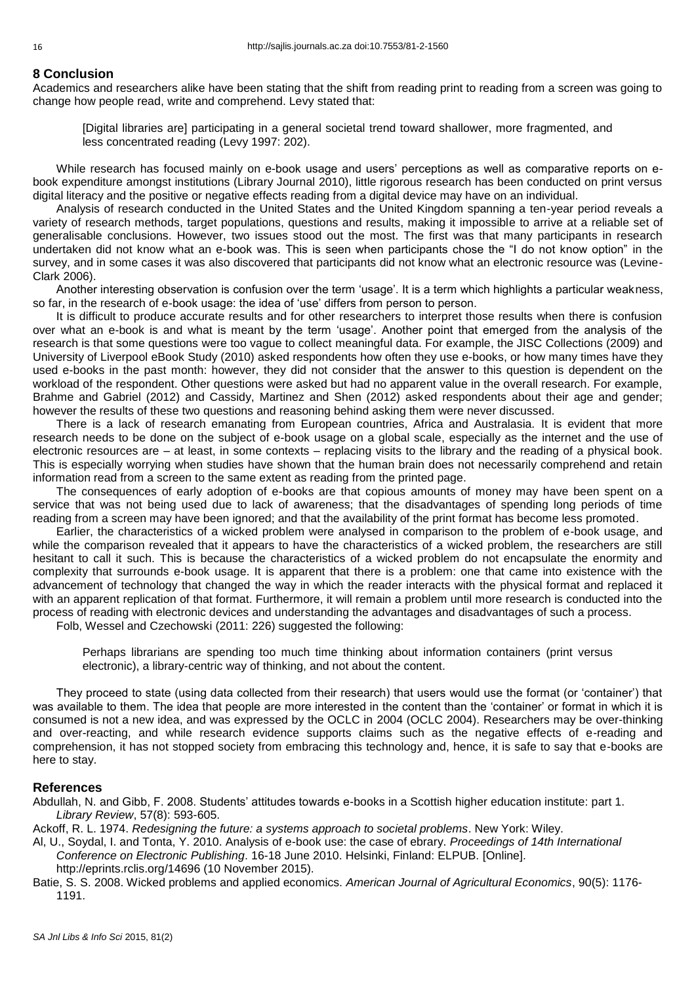## **8 Conclusion**

Academics and researchers alike have been stating that the shift from reading print to reading from a screen was going to change how people read, write and comprehend. Levy stated that:

[Digital libraries are] participating in a general societal trend toward shallower, more fragmented, and less concentrated reading (Levy 1997: 202).

While research has focused mainly on e-book usage and users' perceptions as well as comparative reports on ebook expenditure amongst institutions (Library Journal 2010), little rigorous research has been conducted on print versus digital literacy and the positive or negative effects reading from a digital device may have on an individual.

Analysis of research conducted in the United States and the United Kingdom spanning a ten-year period reveals a variety of research methods, target populations, questions and results, making it impossible to arrive at a reliable set of generalisable conclusions. However, two issues stood out the most. The first was that many participants in research undertaken did not know what an e-book was. This is seen when participants chose the "I do not know option" in the survey, and in some cases it was also discovered that participants did not know what an electronic resource was (Levine-Clark 2006).

Another interesting observation is confusion over the term 'usage'. It is a term which highlights a particular weakness, so far, in the research of e-book usage: the idea of 'use' differs from person to person.

It is difficult to produce accurate results and for other researchers to interpret those results when there is confusion over what an e-book is and what is meant by the term 'usage'. Another point that emerged from the analysis of the research is that some questions were too vague to collect meaningful data. For example, the JISC Collections (2009) and University of Liverpool eBook Study (2010) asked respondents how often they use e-books, or how many times have they used e-books in the past month: however, they did not consider that the answer to this question is dependent on the workload of the respondent. Other questions were asked but had no apparent value in the overall research. For example, Brahme and Gabriel (2012) and Cassidy, Martinez and Shen (2012) asked respondents about their age and gender; however the results of these two questions and reasoning behind asking them were never discussed.

There is a lack of research emanating from European countries, Africa and Australasia. It is evident that more research needs to be done on the subject of e-book usage on a global scale, especially as the internet and the use of electronic resources are – at least, in some contexts – replacing visits to the library and the reading of a physical book. This is especially worrying when studies have shown that the human brain does not necessarily comprehend and retain information read from a screen to the same extent as reading from the printed page.

The consequences of early adoption of e-books are that copious amounts of money may have been spent on a service that was not being used due to lack of awareness; that the disadvantages of spending long periods of time reading from a screen may have been ignored; and that the availability of the print format has become less promoted.

Earlier, the characteristics of a wicked problem were analysed in comparison to the problem of e-book usage, and while the comparison revealed that it appears to have the characteristics of a wicked problem, the researchers are still hesitant to call it such. This is because the characteristics of a wicked problem do not encapsulate the enormity and complexity that surrounds e-book usage. It is apparent that there is a problem: one that came into existence with the advancement of technology that changed the way in which the reader interacts with the physical format and replaced it with an apparent replication of that format. Furthermore, it will remain a problem until more research is conducted into the process of reading with electronic devices and understanding the advantages and disadvantages of such a process.

Folb, Wessel and Czechowski (2011: 226) suggested the following:

Perhaps librarians are spending too much time thinking about information containers (print versus electronic), a library-centric way of thinking, and not about the content.

They proceed to state (using data collected from their research) that users would use the format (or 'container') that was available to them. The idea that people are more interested in the content than the 'container' or format in which it is consumed is not a new idea, and was expressed by the OCLC in 2004 (OCLC 2004). Researchers may be over-thinking and over-reacting, and while research evidence supports claims such as the negative effects of e-reading and comprehension, it has not stopped society from embracing this technology and, hence, it is safe to say that e-books are here to stay.

#### **References**

Abdullah, N. and Gibb, F. 2008. Students' attitudes towards e-books in a Scottish higher education institute: part 1. *Library Review*, 57(8): 593-605.

Ackoff, R. L. 1974. *Redesigning the future: a systems approach to societal problems*. New York: Wiley.

Al, U., Soydal, I. and Tonta, Y. 2010. Analysis of e-book use: the case of ebrary. *Proceedings of 14th International Conference on Electronic Publishing*. 16-18 June 2010. Helsinki, Finland: ELPUB. [Online].

http://eprints.rclis.org/14696 (10 November 2015).

Batie, S. S. 2008. Wicked problems and applied economics. *American Journal of Agricultural Economics*, 90(5): 1176- 1191.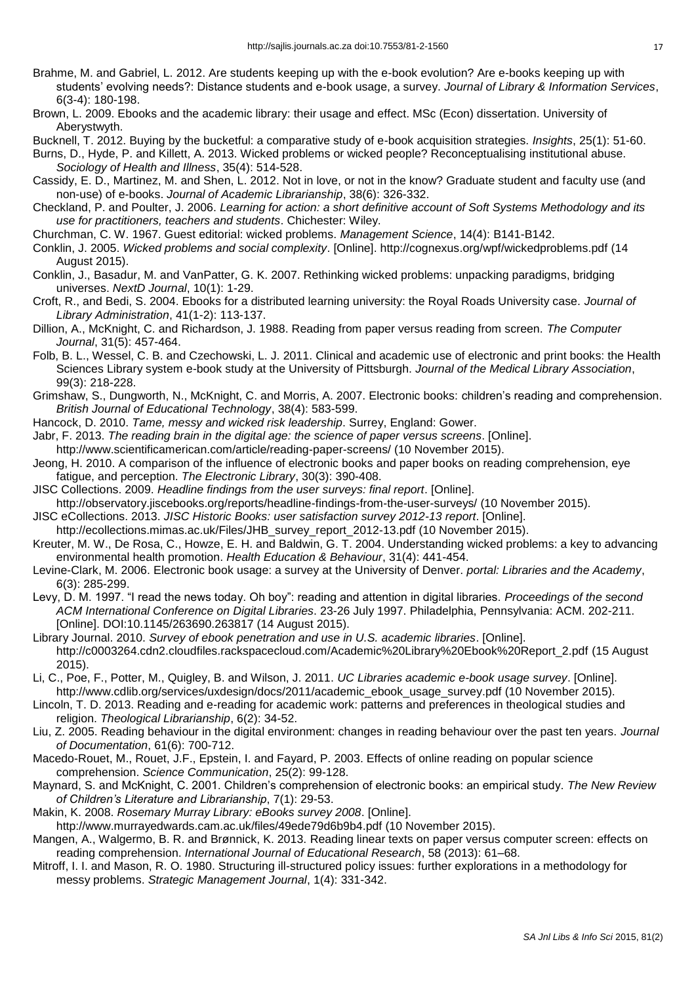- Brahme, M. and Gabriel, L. 2012. Are students keeping up with the e-book evolution? Are e-books keeping up with students' evolving needs?: Distance students and e-book usage, a survey. *Journal of Library & Information Services*, 6(3-4): 180-198.
- Brown, L. 2009. Ebooks and the academic library: their usage and effect. MSc (Econ) dissertation. University of Aberystwyth.

Bucknell, T. 2012. Buying by the bucketful: a comparative study of e-book acquisition strategies. *Insights*, 25(1): 51-60.

- Burns, D., Hyde, P. and Killett, A. 2013. Wicked problems or wicked people? Reconceptualising institutional abuse. *Sociology of Health and Illness*, 35(4): 514-528.
- Cassidy, E. D., Martinez, M. and Shen, L. 2012. Not in love, or not in the know? Graduate student and faculty use (and non-use) of e-books. *Journal of Academic Librarianship*, 38(6): 326-332.
- Checkland, P. and Poulter, J. 2006. *Learning for action: a short definitive account of Soft Systems Methodology and its use for practitioners, teachers and students*. Chichester: Wiley.
- Churchman, C. W. 1967. Guest editorial: wicked problems. *Management Science*, 14(4): B141-B142.
- Conklin, J. 2005. *Wicked problems and social complexity*. [Online]. http://cognexus.org/wpf/wickedproblems.pdf (14 August 2015).
- Conklin, J., Basadur, M. and VanPatter, G. K. 2007. Rethinking wicked problems: unpacking paradigms, bridging universes. *NextD Journal*, 10(1): 1-29.
- Croft, R., and Bedi, S. 2004. Ebooks for a distributed learning university: the Royal Roads University case. *Journal of Library Administration*, 41(1-2): 113-137.
- Dillion, A., McKnight, C. and Richardson, J. 1988. Reading from paper versus reading from screen. *The Computer Journal*, 31(5): 457-464.
- Folb, B. L., Wessel, C. B. and Czechowski, L. J. 2011. Clinical and academic use of electronic and print books: the Health Sciences Library system e-book study at the University of Pittsburgh. *Journal of the Medical Library Association*, 99(3): 218-228.
- Grimshaw, S., Dungworth, N., McKnight, C. and Morris, A. 2007. Electronic books: children's reading and comprehension. *British Journal of Educational Technology*, 38(4): 583-599.
- Hancock, D. 2010. *Tame, messy and wicked risk leadership*. Surrey, England: Gower.
- Jabr, F. 2013. *The reading brain in the digital age: the science of paper versus screens*. [Online]. <http://www.scientificamerican.com/article/reading-paper-screens/> (10 November 2015).
- Jeong, H. 2010. A comparison of the influence of electronic books and paper books on reading comprehension, eye fatigue, and perception. *The Electronic Library*, 30(3): 390-408.
- JISC Collections. 2009. *Headline findings from the user surveys: final report*. [Online].
- http://observatory.jiscebooks.org/reports/headline-findings-from-the-user-surveys/ (10 November 2015).
- JISC eCollections. 2013. *JISC Historic Books: user satisfaction survey 2012-13 report*. [Online].
- http://ecollections.mimas.ac.uk/Files/JHB\_survey\_report\_2012-13.pdf (10 November 2015).
- Kreuter, M. W., De Rosa, C., Howze, E. H. and Baldwin, G. T. 2004. Understanding wicked problems: a key to advancing environmental health promotion. *Health Education & Behaviour*, 31(4): 441-454.
- Levine-Clark, M. 2006. Electronic book usage: a survey at the University of Denver. *portal: Libraries and the Academy*, 6(3): 285-299.
- Levy, D. M. 1997. "I read the news today. Oh boy": reading and attention in digital libraries. *Proceedings of the second ACM International Conference on Digital Libraries*. 23-26 July 1997. Philadelphia, Pennsylvania: ACM. 202-211. [Online]. DOI:10.1145/263690.263817 (14 August 2015).
- Library Journal. 2010. *Survey of ebook penetration and use in U.S. academic libraries*. [Online]. [http://c0003264.cdn2.cloudfiles.rackspacecloud.com/Academic%20Library%20Ebook%20Report\\_2.pdf](http://c0003264.cdn2.cloudfiles.rackspacecloud.com/Academic%20Library%20Ebook%20Report_2.pdf) (15 August 2015).
- Li, C., Poe, F., Potter, M., Quigley, B. and Wilson, J. 2011. *UC Libraries academic e-book usage survey*. [Online]. http://www.cdlib.org/services/uxdesign/docs/2011/academic\_ebook\_usage\_survey.pdf (10 November 2015).
- Lincoln, T. D. 2013. Reading and e-reading for academic work: patterns and preferences in theological studies and religion. *Theological Librarianship*, 6(2): 34-52.
- Liu, Z. 2005. Reading behaviour in the digital environment: changes in reading behaviour over the past ten years. *Journal of Documentation*, 61(6): 700-712.
- Macedo-Rouet, M., Rouet, J.F., Epstein, I. and Fayard, P. 2003. Effects of online reading on popular science comprehension. *Science Communication*, 25(2): 99-128.
- Maynard, S. and McKnight, C. 2001. Children's comprehension of electronic books: an empirical study. *The New Review of Children's Literature and Librarianship*, 7(1): 29-53.
- Makin, K. 2008. *Rosemary Murray Library: eBooks survey 2008*. [Online].

http://www.murrayedwards.cam.ac.uk/files/49ede79d6b9b4.pdf (10 November 2015).

- Mangen, A., Walgermo, B. R. and Brønnick, K. 2013. Reading linear texts on paper versus computer screen: effects on reading comprehension. *International Journal of Educational Research*, 58 (2013): 61–68.
- Mitroff, I. I. and Mason, R. O. 1980. Structuring ill-structured policy issues: further explorations in a methodology for messy problems. *Strategic Management Journal*, 1(4): 331-342.